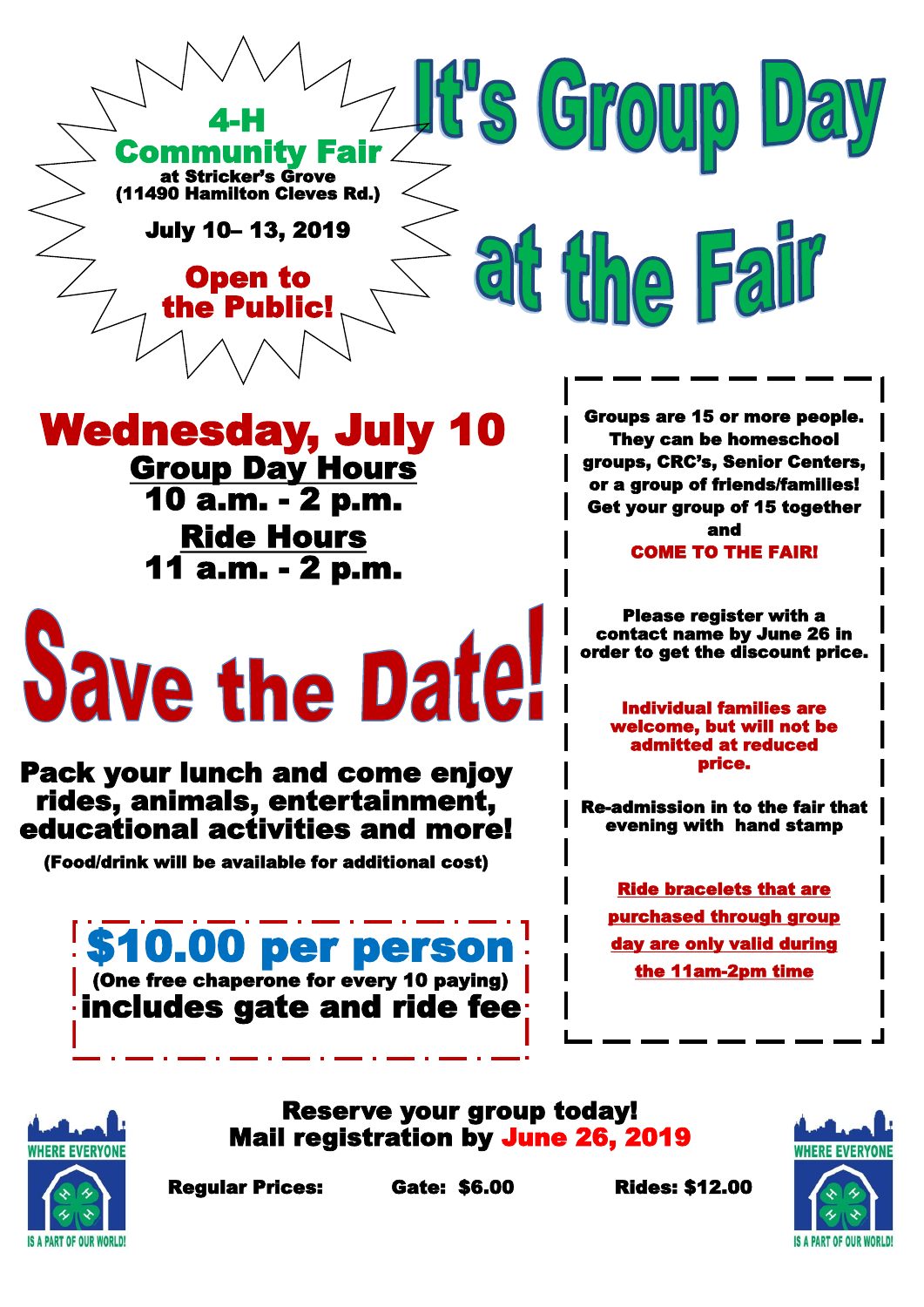

## Wednesday, July 10

**Group Day Hours** 10 a.m. - 2 p.m. Ride Hours 11 a.m. - 2 p.m.

## **Save the Date!**

Pack your lunch and come enjoy rides, animals, entertainment, educational activities and more!

(Food/drink will be available for additional cost)

\$10.00 per person (One free chaperone for every 10 paying) includes gate and ride fee

Groups are 15 or more people. They can be homeschool groups, CRC's, Senior Centers, or a group of friends/families! Get your group of 15 together and COME TO THE FAIR!

Please register with a contact name by June 26 in order to get the discount price.

 Individual families are welcome, but will not be admitted at reduced price.

Re-admission in to the fair that evening with hand stamp

Ride bracelets that are purchased through group day are only valid during the 11am-2pm time



Reserve your group today! Mail registration by June 26, 2019



Regular Prices: Gate: \$6.00 Rides: \$12.00